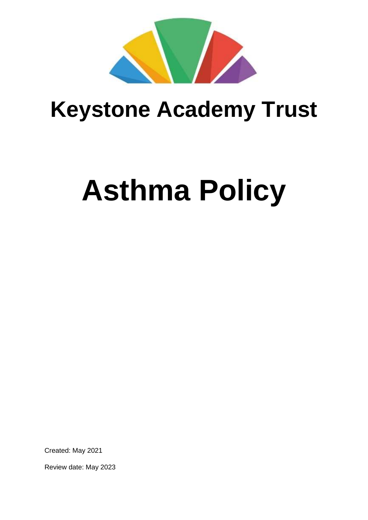

# **Keystone Academy Trust**

# **Asthma Policy**

Created: May 2021

Review date: May 2023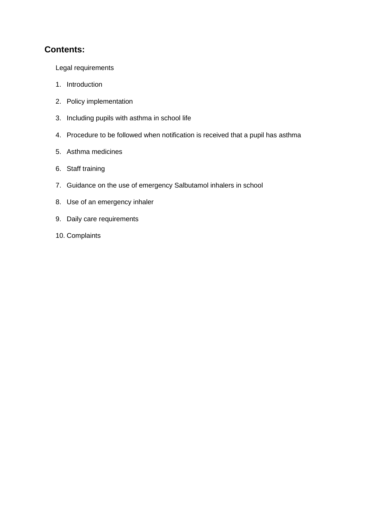#### **Contents:**

Legal requirements

- 1. Introduction
- 2. Policy implementation
- 3. Including pupils with asthma in school life
- 4. Procedure to be followed when notification is received that a pupil has asthma
- 5. Asthma medicines
- 6. Staff training
- 7. Guidance on the use of emergency Salbutamol inhalers in school
- 8. Use of an emergency inhaler
- 9. Daily care requirements
- 10. Complaints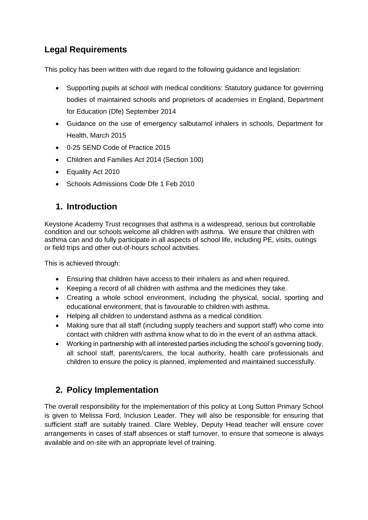# **Legal Requirements**

This policy has been written with due regard to the following guidance and legislation:

- Supporting pupils at school with medical conditions: Statutory guidance for governing bodies of maintained schools and proprietors of academies in England, Department for Education (Dfe) September 2014
- Guidance on the use of emergency salbutamol inhalers in schools, Department for Health, March 2015
- 0-25 SEND Code of Practice 2015
- Children and Families Act 2014 (Section 100)
- Equality Act 2010
- Schools Admissions Code Dfe 1 Feb 2010

# **1. Introduction**

Keystone Academy Trust recognises that asthma is a widespread, serious but controllable condition and our schools welcome all children with asthma. We ensure that children with asthma can and do fully participate in all aspects of school life, including PE, visits, outings or field trips and other out-of-hours school activities.

This is achieved through:

- Ensuring that children have access to their inhalers as and when required.
- Keeping a record of all children with asthma and the medicines they take.
- Creating a whole school environment, including the physical, social, sporting and educational environment, that is favourable to children with asthma.
- Helping all children to understand asthma as a medical condition.
- Making sure that all staff (including supply teachers and support staff) who come into contact with children with asthma know what to do in the event of an asthma attack.
- Working in partnership with all interested parties including the school's governing body, all school staff, parents/carers, the local authority, health care professionals and children to ensure the policy is planned, implemented and maintained successfully.

# **2. Policy Implementation**

The overall responsibility for the implementation of this policy at Long Sutton Primary School is given to Melissa Ford, Inclusion Leader. They will also be responsible for ensuring that sufficient staff are suitably trained. Clare Webley, Deputy Head teacher will ensure cover arrangements in cases of staff absences or staff turnover, to ensure that someone is always available and on-site with an appropriate level of training.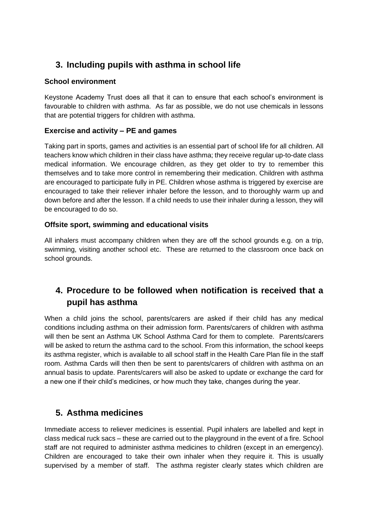# **3. Including pupils with asthma in school life**

#### **School environment**

Keystone Academy Trust does all that it can to ensure that each school's environment is favourable to children with asthma. As far as possible, we do not use chemicals in lessons that are potential triggers for children with asthma.

#### **Exercise and activity – PE and games**

Taking part in sports, games and activities is an essential part of school life for all children. All teachers know which children in their class have asthma; they receive regular up-to-date class medical information. We encourage children, as they get older to try to remember this themselves and to take more control in remembering their medication. Children with asthma are encouraged to participate fully in PE. Children whose asthma is triggered by exercise are encouraged to take their reliever inhaler before the lesson, and to thoroughly warm up and down before and after the lesson. If a child needs to use their inhaler during a lesson, they will be encouraged to do so.

#### **Offsite sport, swimming and educational visits**

All inhalers must accompany children when they are off the school grounds e.g. on a trip, swimming, visiting another school etc. These are returned to the classroom once back on school grounds.

# **4. Procedure to be followed when notification is received that a pupil has asthma**

When a child joins the school, parents/carers are asked if their child has any medical conditions including asthma on their admission form. Parents/carers of children with asthma will then be sent an Asthma UK School Asthma Card for them to complete. Parents/carers will be asked to return the asthma card to the school. From this information, the school keeps its asthma register, which is available to all school staff in the Health Care Plan file in the staff room. Asthma Cards will then then be sent to parents/carers of children with asthma on an annual basis to update. Parents/carers will also be asked to update or exchange the card for a new one if their child's medicines, or how much they take, changes during the year.

#### **5. Asthma medicines**

Immediate access to reliever medicines is essential. Pupil inhalers are labelled and kept in class medical ruck sacs – these are carried out to the playground in the event of a fire. School staff are not required to administer asthma medicines to children (except in an emergency). Children are encouraged to take their own inhaler when they require it. This is usually supervised by a member of staff. The asthma register clearly states which children are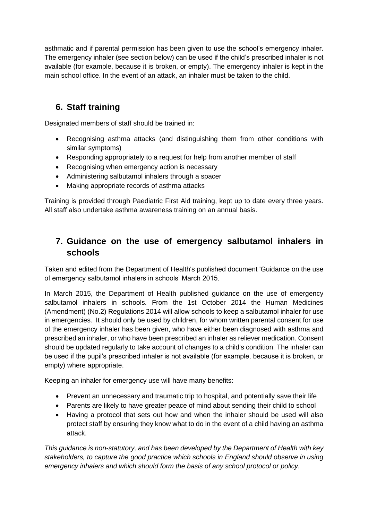asthmatic and if parental permission has been given to use the school's emergency inhaler. The emergency inhaler (see section below) can be used if the child's prescribed inhaler is not available (for example, because it is broken, or empty). The emergency inhaler is kept in the main school office. In the event of an attack, an inhaler must be taken to the child.

# **6. Staff training**

Designated members of staff should be trained in:

- Recognising asthma attacks (and distinguishing them from other conditions with similar symptoms)
- Responding appropriately to a request for help from another member of staff
- Recognising when emergency action is necessary
- Administering salbutamol inhalers through a spacer
- Making appropriate records of asthma attacks

Training is provided through Paediatric First Aid training, kept up to date every three years. All staff also undertake asthma awareness training on an annual basis.

## **7. Guidance on the use of emergency salbutamol inhalers in schools**

Taken and edited from the Department of Health's published document 'Guidance on the use of emergency salbutamol inhalers in schools' March 2015.

In March 2015, the Department of Health published guidance on the use of emergency salbutamol inhalers in schools. From the 1st October 2014 the Human Medicines (Amendment) (No.2) Regulations 2014 will allow schools to keep a salbutamol inhaler for use in emergencies. It should only be used by children, for whom written parental consent for use of the emergency inhaler has been given, who have either been diagnosed with asthma and prescribed an inhaler, or who have been prescribed an inhaler as reliever medication. Consent should be updated regularly to take account of changes to a child's condition. The inhaler can be used if the pupil's prescribed inhaler is not available (for example, because it is broken, or empty) where appropriate.

Keeping an inhaler for emergency use will have many benefits:

- Prevent an unnecessary and traumatic trip to hospital, and potentially save their life
- Parents are likely to have greater peace of mind about sending their child to school
- Having a protocol that sets out how and when the inhaler should be used will also protect staff by ensuring they know what to do in the event of a child having an asthma attack.

*This guidance is non-statutory, and has been developed by the Department of Health with key stakeholders, to capture the good practice which schools in England should observe in using emergency inhalers and which should form the basis of any school protocol or policy.*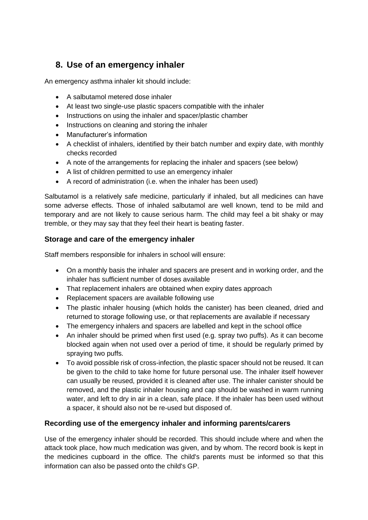# **8. Use of an emergency inhaler**

An emergency asthma inhaler kit should include:

- A salbutamol metered dose inhaler
- At least two single-use plastic spacers compatible with the inhaler
- Instructions on using the inhaler and spacer/plastic chamber
- Instructions on cleaning and storing the inhaler
- Manufacturer's information
- A checklist of inhalers, identified by their batch number and expiry date, with monthly checks recorded
- A note of the arrangements for replacing the inhaler and spacers (see below)
- A list of children permitted to use an emergency inhaler
- A record of administration (i.e. when the inhaler has been used)

Salbutamol is a relatively safe medicine, particularly if inhaled, but all medicines can have some adverse effects. Those of inhaled salbutamol are well known, tend to be mild and temporary and are not likely to cause serious harm. The child may feel a bit shaky or may tremble, or they may say that they feel their heart is beating faster.

#### **Storage and care of the emergency inhaler**

Staff members responsible for inhalers in school will ensure:

- On a monthly basis the inhaler and spacers are present and in working order, and the inhaler has sufficient number of doses available
- That replacement inhalers are obtained when expiry dates approach
- Replacement spacers are available following use
- The plastic inhaler housing (which holds the canister) has been cleaned, dried and returned to storage following use, or that replacements are available if necessary
- The emergency inhalers and spacers are labelled and kept in the school office
- An inhaler should be primed when first used (e.g. spray two puffs). As it can become blocked again when not used over a period of time, it should be regularly primed by spraying two puffs.
- To avoid possible risk of cross-infection, the plastic spacer should not be reused. It can be given to the child to take home for future personal use. The inhaler itself however can usually be reused, provided it is cleaned after use. The inhaler canister should be removed, and the plastic inhaler housing and cap should be washed in warm running water, and left to dry in air in a clean, safe place. If the inhaler has been used without a spacer, it should also not be re-used but disposed of.

#### **Recording use of the emergency inhaler and informing parents/carers**

Use of the emergency inhaler should be recorded. This should include where and when the attack took place, how much medication was given, and by whom. The record book is kept in the medicines cupboard in the office. The child's parents must be informed so that this information can also be passed onto the child's GP.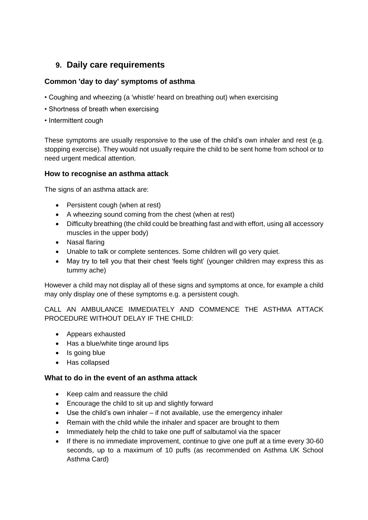#### **9. Daily care requirements**

#### **Common 'day to day' symptoms of asthma**

- Coughing and wheezing (a 'whistle' heard on breathing out) when exercising
- Shortness of breath when exercising
- Intermittent cough

These symptoms are usually responsive to the use of the child's own inhaler and rest (e.g. stopping exercise). They would not usually require the child to be sent home from school or to need urgent medical attention.

#### **How to recognise an asthma attack**

The signs of an asthma attack are:

- Persistent cough (when at rest)
- A wheezing sound coming from the chest (when at rest)
- Difficulty breathing (the child could be breathing fast and with effort, using all accessory muscles in the upper body)
- Nasal flaring
- Unable to talk or complete sentences. Some children will go very quiet.
- May try to tell you that their chest 'feels tight' (younger children may express this as tummy ache)

However a child may not display all of these signs and symptoms at once, for example a child may only display one of these symptoms e.g. a persistent cough.

CALL AN AMBULANCE IMMEDIATELY AND COMMENCE THE ASTHMA ATTACK PROCEDURE WITHOUT DELAY IF THE CHILD:

- Appears exhausted
- Has a blue/white tinge around lips
- Is going blue
- Has collapsed

#### **What to do in the event of an asthma attack**

- Keep calm and reassure the child
- Encourage the child to sit up and slightly forward
- Use the child's own inhaler if not available, use the emergency inhaler
- Remain with the child while the inhaler and spacer are brought to them
- Immediately help the child to take one puff of salbutamol via the spacer
- If there is no immediate improvement, continue to give one puff at a time every 30-60 seconds, up to a maximum of 10 puffs (as recommended on Asthma UK School Asthma Card)